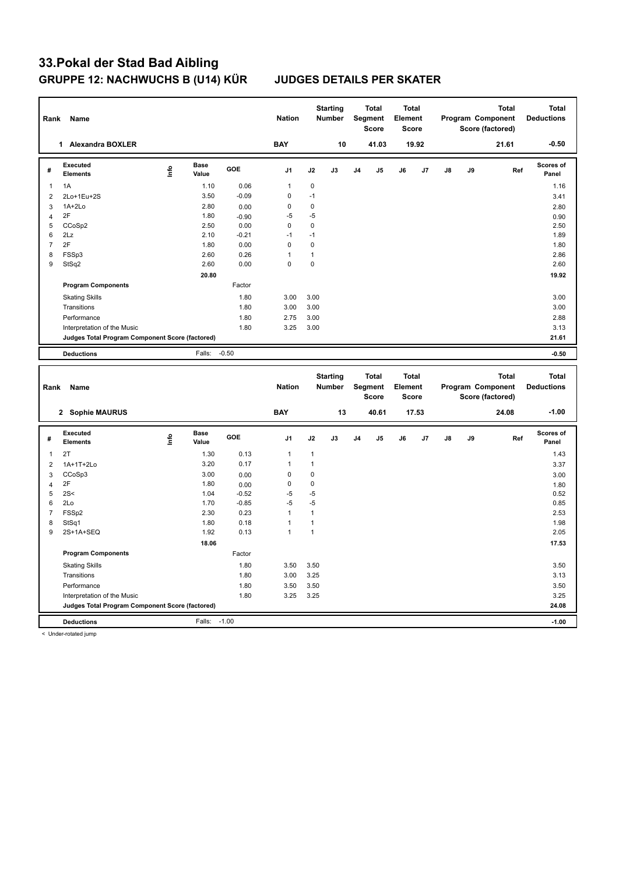| Rank           | Name                                            |             |                      |         | <b>Nation</b>  |              | <b>Starting</b><br>Number |                | <b>Total</b><br>Segment<br><b>Score</b> | <b>Total</b><br>Element<br><b>Score</b> |       |    |    | Program Component<br>Score (factored) | <b>Total</b> | <b>Total</b><br><b>Deductions</b> |
|----------------|-------------------------------------------------|-------------|----------------------|---------|----------------|--------------|---------------------------|----------------|-----------------------------------------|-----------------------------------------|-------|----|----|---------------------------------------|--------------|-----------------------------------|
|                | 1 Alexandra BOXLER                              |             |                      |         | <b>BAY</b>     |              | 10                        |                | 41.03                                   |                                         | 19.92 |    |    |                                       | 21.61        | $-0.50$                           |
| #              | Executed<br><b>Elements</b>                     | <u>Info</u> | <b>Base</b><br>Value | GOE     | J <sub>1</sub> | J2           | J3                        | J <sub>4</sub> | J5                                      | J6                                      | J7    | J8 | J9 |                                       | Ref          | Scores of<br>Panel                |
| $\mathbf{1}$   | 1A                                              |             | 1.10                 | 0.06    | $\mathbf{1}$   | 0            |                           |                |                                         |                                         |       |    |    |                                       |              | 1.16                              |
| $\overline{2}$ | 2Lo+1Eu+2S                                      |             | 3.50                 | $-0.09$ | 0              | $-1$         |                           |                |                                         |                                         |       |    |    |                                       |              | 3.41                              |
| 3              | 1A+2Lo                                          |             | 2.80                 | 0.00    | 0              | $\pmb{0}$    |                           |                |                                         |                                         |       |    |    |                                       |              | 2.80                              |
| $\overline{4}$ | 2F                                              |             | 1.80                 | $-0.90$ | $-5$           | $-5$         |                           |                |                                         |                                         |       |    |    |                                       |              | 0.90                              |
| 5              | CCoSp2                                          |             | 2.50                 | 0.00    | $\mathbf 0$    | $\mathbf 0$  |                           |                |                                         |                                         |       |    |    |                                       |              | 2.50                              |
| 6              | 2Lz                                             |             | 2.10                 | $-0.21$ | $-1$           | $-1$         |                           |                |                                         |                                         |       |    |    |                                       |              | 1.89                              |
| $\overline{7}$ | 2F                                              |             | 1.80                 | 0.00    | $\mathbf 0$    | $\mathbf 0$  |                           |                |                                         |                                         |       |    |    |                                       |              | 1.80                              |
| 8              | FSSp3                                           |             | 2.60                 | 0.26    | 1              | $\mathbf{1}$ |                           |                |                                         |                                         |       |    |    |                                       |              | 2.86                              |
| 9              | StSq2                                           |             | 2.60                 | 0.00    | $\Omega$       | $\mathbf 0$  |                           |                |                                         |                                         |       |    |    |                                       |              | 2.60                              |
|                |                                                 |             | 20.80                |         |                |              |                           |                |                                         |                                         |       |    |    |                                       |              | 19.92                             |
|                | <b>Program Components</b>                       |             |                      | Factor  |                |              |                           |                |                                         |                                         |       |    |    |                                       |              |                                   |
|                | <b>Skating Skills</b>                           |             |                      | 1.80    | 3.00           | 3.00         |                           |                |                                         |                                         |       |    |    |                                       |              | 3.00                              |
|                | Transitions                                     |             |                      | 1.80    | 3.00           | 3.00         |                           |                |                                         |                                         |       |    |    |                                       |              | 3.00                              |
|                | Performance                                     |             |                      | 1.80    | 2.75           | 3.00         |                           |                |                                         |                                         |       |    |    |                                       |              | 2.88                              |
|                | Interpretation of the Music                     |             |                      | 1.80    | 3.25           | 3.00         |                           |                |                                         |                                         |       |    |    |                                       |              | 3.13                              |
|                | Judges Total Program Component Score (factored) |             |                      |         |                |              |                           |                |                                         |                                         |       |    |    |                                       |              | 21.61                             |
|                | <b>Deductions</b>                               |             | Falls:               | $-0.50$ |                |              |                           |                |                                         |                                         |       |    |    |                                       |              | $-0.50$                           |
|                |                                                 |             |                      |         |                |              |                           |                |                                         |                                         |       |    |    |                                       |              |                                   |
|                |                                                 |             |                      |         |                |              | <b>Starting</b>           |                | <b>Total</b>                            | <b>Total</b>                            |       |    |    |                                       | <b>Total</b> | <b>Total</b>                      |
| Rank           | Name                                            |             |                      |         | <b>Nation</b>  |              | <b>Number</b>             |                | <b>Segment</b><br>Score                 | Element<br>Score                        |       |    |    | Program Component<br>Score (factored) |              | <b>Deductions</b>                 |
|                | 2 Sophie MAURUS                                 |             |                      |         | <b>BAY</b>     |              | 13                        |                | 40.61                                   |                                         | 17.53 |    |    |                                       | 24.08        | $-1.00$                           |
| #              | <b>Executed</b><br>Elements                     | lnfo        | <b>Base</b><br>Value | GOE     | J <sub>1</sub> | J2           | J3                        | J <sub>4</sub> | J5                                      | J6                                      | J7    | J8 | J9 |                                       | Ref          | Scores of<br>Panel                |
| $\mathbf{1}$   | 2T                                              |             | 1.30                 | 0.13    | 1              | $\mathbf{1}$ |                           |                |                                         |                                         |       |    |    |                                       |              | 1.43                              |
| $\overline{2}$ |                                                 |             | 3.20                 | 0.17    | $\mathbf{1}$   | $\mathbf{1}$ |                           |                |                                         |                                         |       |    |    |                                       |              |                                   |
| $\mathbf{3}$   | 1A+1T+2Lo<br>CCoSp3                             |             | 3.00                 | 0.00    | 0              | 0            |                           |                |                                         |                                         |       |    |    |                                       |              | 3.37                              |
| $\overline{4}$ | 2F                                              |             | 1.80                 | 0.00    | 0              | 0            |                           |                |                                         |                                         |       |    |    |                                       |              | 3.00<br>1.80                      |
| 5              | 2S<                                             |             | 1.04                 | $-0.52$ | $-5$           | $-5$         |                           |                |                                         |                                         |       |    |    |                                       |              | 0.52                              |
| 6              | 2Lo                                             |             | 1.70                 | $-0.85$ | $-5$           | $-5$         |                           |                |                                         |                                         |       |    |    |                                       |              | 0.85                              |
| $\overline{7}$ | FSS <sub>p2</sub>                               |             | 2.30                 | 0.23    | $\mathbf{1}$   | $\mathbf{1}$ |                           |                |                                         |                                         |       |    |    |                                       |              | 2.53                              |
| 8              | StSq1                                           |             | 1.80                 | 0.18    | $\mathbf{1}$   | $\mathbf{1}$ |                           |                |                                         |                                         |       |    |    |                                       |              | 1.98                              |
| 9              | 2S+1A+SEQ                                       |             | 1.92                 | 0.13    | $\mathbf{1}$   | $\mathbf{1}$ |                           |                |                                         |                                         |       |    |    |                                       |              | 2.05                              |
|                |                                                 |             | 18.06                |         |                |              |                           |                |                                         |                                         |       |    |    |                                       |              | 17.53                             |
|                | <b>Program Components</b>                       |             |                      | Factor  |                |              |                           |                |                                         |                                         |       |    |    |                                       |              |                                   |
|                | <b>Skating Skills</b>                           |             |                      | 1.80    | 3.50           | 3.50         |                           |                |                                         |                                         |       |    |    |                                       |              | 3.50                              |
|                | Transitions                                     |             |                      | 1.80    | 3.00           | 3.25         |                           |                |                                         |                                         |       |    |    |                                       |              | 3.13                              |
|                | Performance                                     |             |                      | 1.80    | 3.50           | 3.50         |                           |                |                                         |                                         |       |    |    |                                       |              | 3.50                              |
|                | Interpretation of the Music                     |             |                      | 1.80    | 3.25           | 3.25         |                           |                |                                         |                                         |       |    |    |                                       |              | 3.25                              |
|                | Judges Total Program Component Score (factored) |             |                      |         |                |              |                           |                |                                         |                                         |       |    |    |                                       |              | 24.08                             |

< Under-rotated jump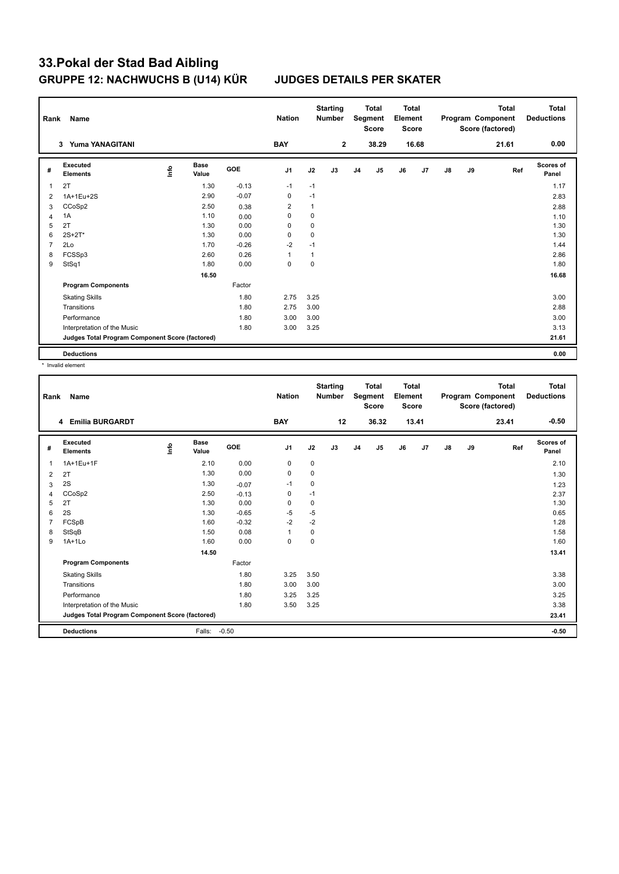| Rank           | Name                                            |      |                      |            | <b>Nation</b>  |             | <b>Starting</b><br><b>Number</b> |                | <b>Total</b><br>Segment<br>Score | Total<br>Element<br>Score |                |    |    | <b>Total</b><br>Program Component<br>Score (factored) | Total<br><b>Deductions</b> |
|----------------|-------------------------------------------------|------|----------------------|------------|----------------|-------------|----------------------------------|----------------|----------------------------------|---------------------------|----------------|----|----|-------------------------------------------------------|----------------------------|
|                | <b>Yuma YANAGITANI</b><br>3                     |      |                      |            | <b>BAY</b>     |             | $\overline{2}$                   |                | 38.29                            |                           | 16.68          |    |    | 21.61                                                 | 0.00                       |
| #              | Executed<br><b>Elements</b>                     | ١nfo | <b>Base</b><br>Value | <b>GOE</b> | J <sub>1</sub> | J2          | J3                               | J <sub>4</sub> | J5                               | J6                        | J <sub>7</sub> | J8 | J9 | Ref                                                   | Scores of<br>Panel         |
| 1              | 2T                                              |      | 1.30                 | $-0.13$    | $-1$           | $-1$        |                                  |                |                                  |                           |                |    |    |                                                       | 1.17                       |
| 2              | 1A+1Eu+2S                                       |      | 2.90                 | $-0.07$    | $\mathbf 0$    | $-1$        |                                  |                |                                  |                           |                |    |    |                                                       | 2.83                       |
| 3              | CCoSp2                                          |      | 2.50                 | 0.38       | $\overline{2}$ | 1           |                                  |                |                                  |                           |                |    |    |                                                       | 2.88                       |
| 4              | 1A                                              |      | 1.10                 | 0.00       | $\mathbf 0$    | $\mathbf 0$ |                                  |                |                                  |                           |                |    |    |                                                       | 1.10                       |
| 5              | 2T                                              |      | 1.30                 | 0.00       | 0              | 0           |                                  |                |                                  |                           |                |    |    |                                                       | 1.30                       |
| 6              | $2S + 2T^*$                                     |      | 1.30                 | 0.00       | 0              | 0           |                                  |                |                                  |                           |                |    |    |                                                       | 1.30                       |
| $\overline{7}$ | 2Lo                                             |      | 1.70                 | $-0.26$    | $-2$           | $-1$        |                                  |                |                                  |                           |                |    |    |                                                       | 1.44                       |
| 8              | FCSSp3                                          |      | 2.60                 | 0.26       | $\overline{1}$ |             |                                  |                |                                  |                           |                |    |    |                                                       | 2.86                       |
| 9              | StSq1                                           |      | 1.80                 | 0.00       | 0              | 0           |                                  |                |                                  |                           |                |    |    |                                                       | 1.80                       |
|                |                                                 |      | 16.50                |            |                |             |                                  |                |                                  |                           |                |    |    |                                                       | 16.68                      |
|                | <b>Program Components</b>                       |      |                      | Factor     |                |             |                                  |                |                                  |                           |                |    |    |                                                       |                            |
|                | <b>Skating Skills</b>                           |      |                      | 1.80       | 2.75           | 3.25        |                                  |                |                                  |                           |                |    |    |                                                       | 3.00                       |
|                | Transitions                                     |      |                      | 1.80       | 2.75           | 3.00        |                                  |                |                                  |                           |                |    |    |                                                       | 2.88                       |
|                | Performance                                     |      |                      | 1.80       | 3.00           | 3.00        |                                  |                |                                  |                           |                |    |    |                                                       | 3.00                       |
|                | Interpretation of the Music                     |      |                      | 1.80       | 3.00           | 3.25        |                                  |                |                                  |                           |                |    |    |                                                       | 3.13                       |
|                | Judges Total Program Component Score (factored) |      |                      |            |                |             |                                  |                |                                  |                           |                |    |    |                                                       | 21.61                      |
|                | <b>Deductions</b>                               |      |                      |            |                |             |                                  |                |                                  |                           |                |    |    |                                                       | 0.00                       |

\* Invalid element

| Rank | Name                                            |   |                      |         | <b>Nation</b> |           | <b>Starting</b><br><b>Number</b> |                | <b>Total</b><br>Segment<br><b>Score</b> | <b>Total</b><br>Element<br><b>Score</b> |       |               |    | <b>Total</b><br>Program Component<br>Score (factored) | Total<br><b>Deductions</b> |
|------|-------------------------------------------------|---|----------------------|---------|---------------|-----------|----------------------------------|----------------|-----------------------------------------|-----------------------------------------|-------|---------------|----|-------------------------------------------------------|----------------------------|
|      | <b>Emilia BURGARDT</b><br>4                     |   |                      |         | <b>BAY</b>    |           | 12                               |                | 36.32                                   |                                         | 13.41 |               |    | 23.41                                                 | $-0.50$                    |
| #    | Executed<br><b>Elements</b>                     | ۴ | <b>Base</b><br>Value | GOE     | J1            | J2        | J3                               | J <sub>4</sub> | J5                                      | J6                                      | J7    | $\mathsf{J}8$ | J9 | Ref                                                   | <b>Scores of</b><br>Panel  |
| 1    | 1A+1Eu+1F                                       |   | 2.10                 | 0.00    | 0             | 0         |                                  |                |                                         |                                         |       |               |    |                                                       | 2.10                       |
| 2    | 2T                                              |   | 1.30                 | 0.00    | $\mathbf 0$   | $\pmb{0}$ |                                  |                |                                         |                                         |       |               |    |                                                       | 1.30                       |
| 3    | 2S                                              |   | 1.30                 | $-0.07$ | $-1$          | $\pmb{0}$ |                                  |                |                                         |                                         |       |               |    |                                                       | 1.23                       |
| 4    | CCoSp2                                          |   | 2.50                 | $-0.13$ | 0             | $-1$      |                                  |                |                                         |                                         |       |               |    |                                                       | 2.37                       |
| 5    | 2T                                              |   | 1.30                 | 0.00    | $\mathbf 0$   | 0         |                                  |                |                                         |                                         |       |               |    |                                                       | 1.30                       |
| 6    | 2S                                              |   | 1.30                 | $-0.65$ | $-5$          | $-5$      |                                  |                |                                         |                                         |       |               |    |                                                       | 0.65                       |
| 7    | FCSpB                                           |   | 1.60                 | $-0.32$ | $-2$          | $-2$      |                                  |                |                                         |                                         |       |               |    |                                                       | 1.28                       |
| 8    | StSqB                                           |   | 1.50                 | 0.08    | $\mathbf{1}$  | 0         |                                  |                |                                         |                                         |       |               |    |                                                       | 1.58                       |
| 9    | $1A+1Lo$                                        |   | 1.60                 | 0.00    | $\mathbf 0$   | 0         |                                  |                |                                         |                                         |       |               |    |                                                       | 1.60                       |
|      |                                                 |   | 14.50                |         |               |           |                                  |                |                                         |                                         |       |               |    |                                                       | 13.41                      |
|      | <b>Program Components</b>                       |   |                      | Factor  |               |           |                                  |                |                                         |                                         |       |               |    |                                                       |                            |
|      | <b>Skating Skills</b>                           |   |                      | 1.80    | 3.25          | 3.50      |                                  |                |                                         |                                         |       |               |    |                                                       | 3.38                       |
|      | Transitions                                     |   |                      | 1.80    | 3.00          | 3.00      |                                  |                |                                         |                                         |       |               |    |                                                       | 3.00                       |
|      | Performance                                     |   |                      | 1.80    | 3.25          | 3.25      |                                  |                |                                         |                                         |       |               |    |                                                       | 3.25                       |
|      | Interpretation of the Music                     |   |                      | 1.80    | 3.50          | 3.25      |                                  |                |                                         |                                         |       |               |    |                                                       | 3.38                       |
|      | Judges Total Program Component Score (factored) |   |                      |         |               |           |                                  |                |                                         |                                         |       |               |    |                                                       | 23.41                      |
|      | <b>Deductions</b>                               |   | Falls:               | $-0.50$ |               |           |                                  |                |                                         |                                         |       |               |    |                                                       | $-0.50$                    |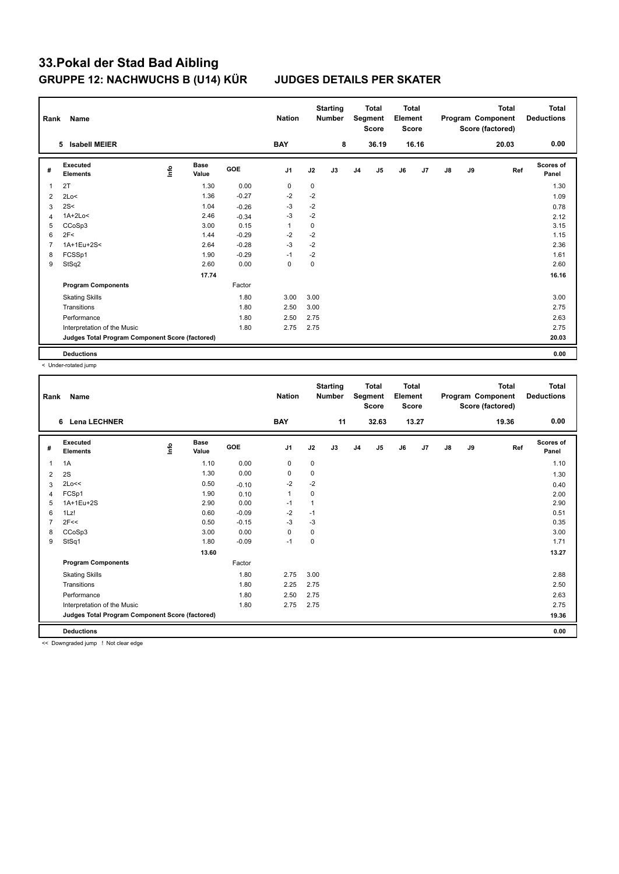| Rank           | Name                                            |      |                      |            | <b>Nation</b>  |             | <b>Starting</b><br><b>Number</b> |                | <b>Total</b><br>Segment<br><b>Score</b> | <b>Total</b><br>Element<br><b>Score</b> |                |    |    | <b>Total</b><br>Program Component<br>Score (factored) | Total<br><b>Deductions</b> |
|----------------|-------------------------------------------------|------|----------------------|------------|----------------|-------------|----------------------------------|----------------|-----------------------------------------|-----------------------------------------|----------------|----|----|-------------------------------------------------------|----------------------------|
|                | <b>Isabell MEIER</b><br>5                       |      |                      |            | <b>BAY</b>     |             | 8                                |                | 36.19                                   |                                         | 16.16          |    |    | 20.03                                                 | 0.00                       |
| #              | Executed<br><b>Elements</b>                     | ١nfo | <b>Base</b><br>Value | <b>GOE</b> | J <sub>1</sub> | J2          | J3                               | J <sub>4</sub> | J <sub>5</sub>                          | J6                                      | J <sub>7</sub> | J8 | J9 | Ref                                                   | <b>Scores of</b><br>Panel  |
| 1              | 2T                                              |      | 1.30                 | 0.00       | $\mathbf 0$    | $\mathbf 0$ |                                  |                |                                         |                                         |                |    |    |                                                       | 1.30                       |
| 2              | 2Lo<                                            |      | 1.36                 | $-0.27$    | $-2$           | $-2$        |                                  |                |                                         |                                         |                |    |    |                                                       | 1.09                       |
| 3              | 2S<                                             |      | 1.04                 | $-0.26$    | $-3$           | $-2$        |                                  |                |                                         |                                         |                |    |    |                                                       | 0.78                       |
| $\overline{4}$ | $1A+2Lo<$                                       |      | 2.46                 | $-0.34$    | $-3$           | $-2$        |                                  |                |                                         |                                         |                |    |    |                                                       | 2.12                       |
| 5              | CCoSp3                                          |      | 3.00                 | 0.15       | $\mathbf{1}$   | 0           |                                  |                |                                         |                                         |                |    |    |                                                       | 3.15                       |
| 6              | 2F<                                             |      | 1.44                 | $-0.29$    | $-2$           | $-2$        |                                  |                |                                         |                                         |                |    |    |                                                       | 1.15                       |
| $\overline{7}$ | 1A+1Eu+2S<                                      |      | 2.64                 | $-0.28$    | $-3$           | $-2$        |                                  |                |                                         |                                         |                |    |    |                                                       | 2.36                       |
| 8              | FCSSp1                                          |      | 1.90                 | $-0.29$    | $-1$           | $-2$        |                                  |                |                                         |                                         |                |    |    |                                                       | 1.61                       |
| 9              | StSq2                                           |      | 2.60                 | 0.00       | $\mathbf 0$    | $\mathbf 0$ |                                  |                |                                         |                                         |                |    |    |                                                       | 2.60                       |
|                |                                                 |      | 17.74                |            |                |             |                                  |                |                                         |                                         |                |    |    |                                                       | 16.16                      |
|                | <b>Program Components</b>                       |      |                      | Factor     |                |             |                                  |                |                                         |                                         |                |    |    |                                                       |                            |
|                | <b>Skating Skills</b>                           |      |                      | 1.80       | 3.00           | 3.00        |                                  |                |                                         |                                         |                |    |    |                                                       | 3.00                       |
|                | Transitions                                     |      |                      | 1.80       | 2.50           | 3.00        |                                  |                |                                         |                                         |                |    |    |                                                       | 2.75                       |
|                | Performance                                     |      |                      | 1.80       | 2.50           | 2.75        |                                  |                |                                         |                                         |                |    |    |                                                       | 2.63                       |
|                | Interpretation of the Music                     |      |                      | 1.80       | 2.75           | 2.75        |                                  |                |                                         |                                         |                |    |    |                                                       | 2.75                       |
|                | Judges Total Program Component Score (factored) |      |                      |            |                |             |                                  |                |                                         |                                         |                |    |    |                                                       | 20.03                      |
|                | <b>Deductions</b>                               |      |                      |            |                |             |                                  |                |                                         |                                         |                |    |    |                                                       | 0.00                       |

< Under-rotated jump

| 13.27<br><b>Lena LECHNER</b><br><b>BAY</b><br>11<br>32.63<br>19.36<br>6<br>Executed<br><b>Base</b><br>١nfo<br>GOE<br>J1<br>J2<br>J5<br>J6<br>J7<br>$\mathsf{J}8$<br>J9<br>J3<br>J <sub>4</sub><br>#<br><b>Elements</b><br>Value | 0.00<br><b>Scores of</b><br>Ref<br>Panel |
|---------------------------------------------------------------------------------------------------------------------------------------------------------------------------------------------------------------------------------|------------------------------------------|
|                                                                                                                                                                                                                                 |                                          |
|                                                                                                                                                                                                                                 |                                          |
| 1.10<br>0.00<br>$\mathbf 0$<br>$\mathbf 0$<br>1A<br>1                                                                                                                                                                           | 1.10                                     |
| 1.30<br>0.00<br>0<br>0<br>2S<br>2                                                                                                                                                                                               | 1.30                                     |
| $-2$<br>2Lo<<<br>0.50<br>$-2$<br>$-0.10$<br>3                                                                                                                                                                                   | 0.40                                     |
| FCSp1<br>1.90<br>$\mathbf{1}$<br>0<br>0.10<br>4                                                                                                                                                                                 | 2.00                                     |
| 1A+1Eu+2S<br>2.90<br>0.00<br>$-1$<br>$\mathbf{1}$<br>5                                                                                                                                                                          | 2.90                                     |
| 0.60<br>$-0.09$<br>$-2$<br>1Lz!<br>6<br>$-1$                                                                                                                                                                                    | 0.51                                     |
| $-3$<br>2F<<<br>$-0.15$<br>-3<br>0.50                                                                                                                                                                                           | 0.35                                     |
| CCoSp3<br>3.00<br>0.00<br>$\mathbf 0$<br>0<br>8                                                                                                                                                                                 | 3.00                                     |
| StSq1<br>$-0.09$<br>9<br>1.80<br>$-1$<br>0                                                                                                                                                                                      | 1.71                                     |
| 13.60                                                                                                                                                                                                                           | 13.27                                    |
| <b>Program Components</b><br>Factor                                                                                                                                                                                             |                                          |
| 1.80<br>2.75<br>3.00<br><b>Skating Skills</b>                                                                                                                                                                                   | 2.88                                     |
| Transitions<br>2.25<br>2.75<br>1.80                                                                                                                                                                                             | 2.50                                     |
| 2.50<br>Performance<br>1.80<br>2.75                                                                                                                                                                                             | 2.63                                     |
| 1.80<br>2.75<br>2.75<br>Interpretation of the Music                                                                                                                                                                             | 2.75                                     |
| Judges Total Program Component Score (factored)                                                                                                                                                                                 | 19.36                                    |
| <b>Deductions</b>                                                                                                                                                                                                               | 0.00                                     |

<< Downgraded jump ! Not clear edge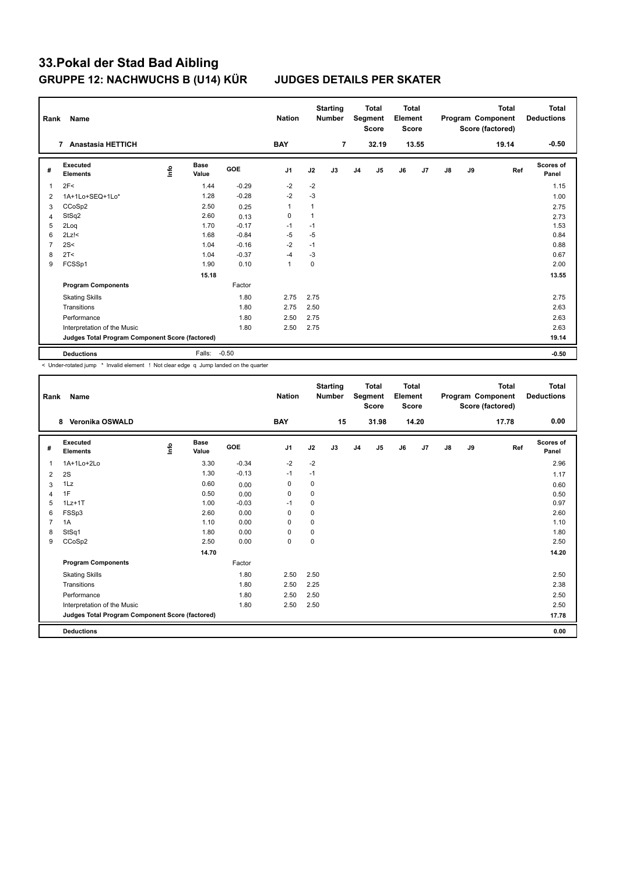| Rank           | Name                                            |      |                      |            | <b>Nation</b>  |             | <b>Starting</b><br><b>Number</b> |                | <b>Total</b><br>Segment<br><b>Score</b> | Total<br>Element<br><b>Score</b> |                |               |    | <b>Total</b><br>Program Component<br>Score (factored) | Total<br><b>Deductions</b> |
|----------------|-------------------------------------------------|------|----------------------|------------|----------------|-------------|----------------------------------|----------------|-----------------------------------------|----------------------------------|----------------|---------------|----|-------------------------------------------------------|----------------------------|
|                | <b>Anastasia HETTICH</b><br>$\overline{7}$      |      |                      |            | <b>BAY</b>     |             | $\overline{7}$                   |                | 32.19                                   |                                  | 13.55          |               |    | 19.14                                                 | $-0.50$                    |
| #              | Executed<br><b>Elements</b>                     | ١nfo | <b>Base</b><br>Value | <b>GOE</b> | J <sub>1</sub> | J2          | J3                               | J <sub>4</sub> | J5                                      | J6                               | J <sub>7</sub> | $\mathsf{J}8$ | J9 | Ref                                                   | <b>Scores of</b><br>Panel  |
| $\overline{1}$ | 2F<                                             |      | 1.44                 | $-0.29$    | $-2$           | $-2$        |                                  |                |                                         |                                  |                |               |    |                                                       | 1.15                       |
| 2              | 1A+1Lo+SEQ+1Lo*                                 |      | 1.28                 | $-0.28$    | $-2$           | $-3$        |                                  |                |                                         |                                  |                |               |    |                                                       | 1.00                       |
| 3              | CCoSp2                                          |      | 2.50                 | 0.25       | $\mathbf{1}$   | 1           |                                  |                |                                         |                                  |                |               |    |                                                       | 2.75                       |
| 4              | StSq2                                           |      | 2.60                 | 0.13       | 0              | 1           |                                  |                |                                         |                                  |                |               |    |                                                       | 2.73                       |
| 5              | 2Loq                                            |      | 1.70                 | $-0.17$    | $-1$           | $-1$        |                                  |                |                                         |                                  |                |               |    |                                                       | 1.53                       |
| 6              | $2Lz$ !<                                        |      | 1.68                 | $-0.84$    | $-5$           | -5          |                                  |                |                                         |                                  |                |               |    |                                                       | 0.84                       |
| $\overline{7}$ | 2S<                                             |      | 1.04                 | $-0.16$    | $-2$           | $-1$        |                                  |                |                                         |                                  |                |               |    |                                                       | 0.88                       |
| 8              | 2T <                                            |      | 1.04                 | $-0.37$    | $-4$           | -3          |                                  |                |                                         |                                  |                |               |    |                                                       | 0.67                       |
| 9              | FCSSp1                                          |      | 1.90                 | 0.10       | $\mathbf{1}$   | $\mathbf 0$ |                                  |                |                                         |                                  |                |               |    |                                                       | 2.00                       |
|                |                                                 |      | 15.18                |            |                |             |                                  |                |                                         |                                  |                |               |    |                                                       | 13.55                      |
|                | <b>Program Components</b>                       |      |                      | Factor     |                |             |                                  |                |                                         |                                  |                |               |    |                                                       |                            |
|                | <b>Skating Skills</b>                           |      |                      | 1.80       | 2.75           | 2.75        |                                  |                |                                         |                                  |                |               |    |                                                       | 2.75                       |
|                | Transitions                                     |      |                      | 1.80       | 2.75           | 2.50        |                                  |                |                                         |                                  |                |               |    |                                                       | 2.63                       |
|                | Performance                                     |      |                      | 1.80       | 2.50           | 2.75        |                                  |                |                                         |                                  |                |               |    |                                                       | 2.63                       |
|                | Interpretation of the Music                     |      |                      | 1.80       | 2.50           | 2.75        |                                  |                |                                         |                                  |                |               |    |                                                       | 2.63                       |
|                | Judges Total Program Component Score (factored) |      |                      |            |                |             |                                  |                |                                         |                                  |                |               |    |                                                       | 19.14                      |
|                | <b>Deductions</b>                               |      | Falls:               | $-0.50$    |                |             |                                  |                |                                         |                                  |                |               |    |                                                       | $-0.50$                    |

< Under-rotated jump \* Invalid element ! Not clear edge q Jump landed on the quarter

| Rank | <b>Name</b>                                     |      |                      |         | <b>Nation</b> |      | <b>Starting</b><br><b>Number</b> |                | <b>Total</b><br>Segment<br><b>Score</b> | <b>Total</b><br>Element<br><b>Score</b> |       |               |    | <b>Total</b><br>Program Component<br>Score (factored) | <b>Total</b><br><b>Deductions</b> |
|------|-------------------------------------------------|------|----------------------|---------|---------------|------|----------------------------------|----------------|-----------------------------------------|-----------------------------------------|-------|---------------|----|-------------------------------------------------------|-----------------------------------|
|      | Veronika OSWALD<br>8                            |      |                      |         | <b>BAY</b>    |      | 15                               |                | 31.98                                   |                                         | 14.20 |               |    | 17.78                                                 | 0.00                              |
| #    | Executed<br><b>Elements</b>                     | ١nfo | <b>Base</b><br>Value | GOE     | J1            | J2   | J3                               | J <sub>4</sub> | J5                                      | J6                                      | J7    | $\mathsf{J}8$ | J9 | Ref                                                   | <b>Scores of</b><br>Panel         |
| 1    | 1A+1Lo+2Lo                                      |      | 3.30                 | $-0.34$ | $-2$          | $-2$ |                                  |                |                                         |                                         |       |               |    |                                                       | 2.96                              |
| 2    | 2S                                              |      | 1.30                 | $-0.13$ | $-1$          | $-1$ |                                  |                |                                         |                                         |       |               |    |                                                       | 1.17                              |
| 3    | 1Lz                                             |      | 0.60                 | 0.00    | $\mathbf 0$   | 0    |                                  |                |                                         |                                         |       |               |    |                                                       | 0.60                              |
| 4    | 1F                                              |      | 0.50                 | 0.00    | 0             | 0    |                                  |                |                                         |                                         |       |               |    |                                                       | 0.50                              |
| 5    | $1Lz+1T$                                        |      | 1.00                 | $-0.03$ | $-1$          | 0    |                                  |                |                                         |                                         |       |               |    |                                                       | 0.97                              |
| 6    | FSSp3                                           |      | 2.60                 | 0.00    | 0             | 0    |                                  |                |                                         |                                         |       |               |    |                                                       | 2.60                              |
| 7    | 1A                                              |      | 1.10                 | 0.00    | $\Omega$      | 0    |                                  |                |                                         |                                         |       |               |    |                                                       | 1.10                              |
| 8    | StSq1                                           |      | 1.80                 | 0.00    | $\Omega$      | 0    |                                  |                |                                         |                                         |       |               |    |                                                       | 1.80                              |
| 9    | CCoSp2                                          |      | 2.50                 | 0.00    | $\mathbf 0$   | 0    |                                  |                |                                         |                                         |       |               |    |                                                       | 2.50                              |
|      |                                                 |      | 14.70                |         |               |      |                                  |                |                                         |                                         |       |               |    |                                                       | 14.20                             |
|      | <b>Program Components</b>                       |      |                      | Factor  |               |      |                                  |                |                                         |                                         |       |               |    |                                                       |                                   |
|      | <b>Skating Skills</b>                           |      |                      | 1.80    | 2.50          | 2.50 |                                  |                |                                         |                                         |       |               |    |                                                       | 2.50                              |
|      | Transitions                                     |      |                      | 1.80    | 2.50          | 2.25 |                                  |                |                                         |                                         |       |               |    |                                                       | 2.38                              |
|      | Performance                                     |      |                      | 1.80    | 2.50          | 2.50 |                                  |                |                                         |                                         |       |               |    |                                                       | 2.50                              |
|      | Interpretation of the Music                     |      |                      | 1.80    | 2.50          | 2.50 |                                  |                |                                         |                                         |       |               |    |                                                       | 2.50                              |
|      | Judges Total Program Component Score (factored) |      |                      |         |               |      |                                  |                |                                         |                                         |       |               |    |                                                       | 17.78                             |
|      | <b>Deductions</b>                               |      |                      |         |               |      |                                  |                |                                         |                                         |       |               |    |                                                       | 0.00                              |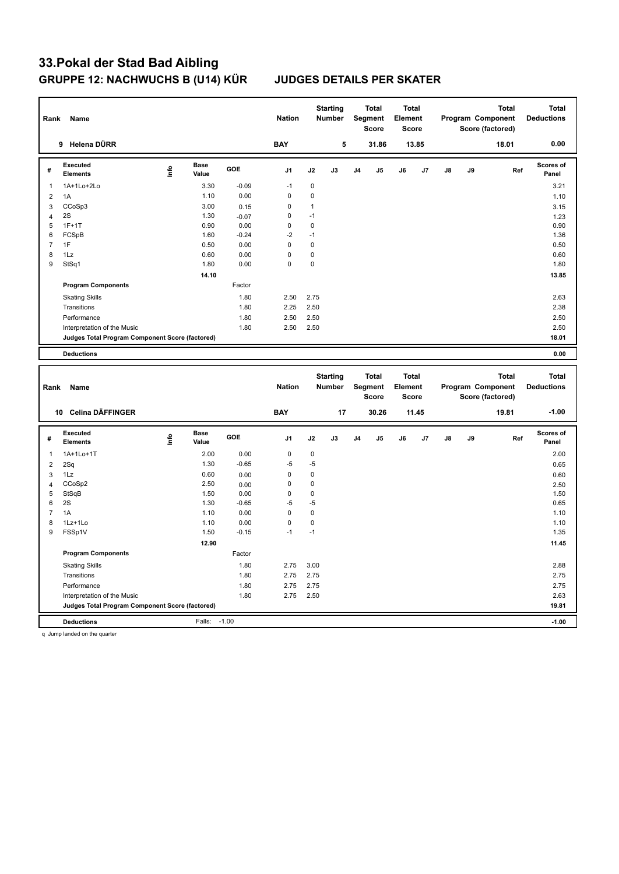| Rank                           | Name                                            |      |                      |              | <b>Nation</b>  |              | <b>Starting</b><br><b>Number</b> |                | <b>Total</b><br>Segment<br><b>Score</b> | <b>Total</b><br>Element<br><b>Score</b> |       |    |    | Program Component<br>Score (factored) | <b>Total</b> | <b>Total</b><br><b>Deductions</b> |
|--------------------------------|-------------------------------------------------|------|----------------------|--------------|----------------|--------------|----------------------------------|----------------|-----------------------------------------|-----------------------------------------|-------|----|----|---------------------------------------|--------------|-----------------------------------|
|                                | 9 Helena DÜRR                                   |      |                      |              | <b>BAY</b>     |              | 5                                |                | 31.86                                   |                                         | 13.85 |    |    | 18.01                                 |              | 0.00                              |
| #                              | Executed<br><b>Elements</b>                     | Life | Base<br>Value        | GOE          | J <sub>1</sub> | J2           | J3                               | J <sub>4</sub> | J5                                      | J6                                      | J7    | J8 | J9 |                                       | Ref          | Scores of<br>Panel                |
| $\mathbf{1}$                   | 1A+1Lo+2Lo                                      |      | 3.30                 | $-0.09$      | $-1$           | $\mathbf 0$  |                                  |                |                                         |                                         |       |    |    |                                       |              | 3.21                              |
| $\overline{2}$                 | 1A                                              |      | 1.10                 | 0.00         | $\mathbf 0$    | 0            |                                  |                |                                         |                                         |       |    |    |                                       |              | 1.10                              |
| 3                              | CCoSp3                                          |      | 3.00                 | 0.15         | 0              | $\mathbf{1}$ |                                  |                |                                         |                                         |       |    |    |                                       |              | 3.15                              |
| $\overline{4}$                 | 2S                                              |      | 1.30                 | $-0.07$      | 0              | $-1$         |                                  |                |                                         |                                         |       |    |    |                                       |              | 1.23                              |
| 5                              | $1F+1T$                                         |      | 0.90                 | 0.00         | $\mathbf 0$    | $\mathbf 0$  |                                  |                |                                         |                                         |       |    |    |                                       |              | 0.90                              |
| 6                              | FCSpB                                           |      | 1.60                 | $-0.24$      | $-2$           | $-1$         |                                  |                |                                         |                                         |       |    |    |                                       |              | 1.36                              |
| $\overline{7}$                 | 1F                                              |      | 0.50                 | 0.00         | $\mathbf 0$    | $\mathbf 0$  |                                  |                |                                         |                                         |       |    |    |                                       |              | 0.50                              |
| 8                              | 1Lz                                             |      | 0.60                 | 0.00         | $\mathbf 0$    | $\pmb{0}$    |                                  |                |                                         |                                         |       |    |    |                                       |              | 0.60                              |
| 9                              | StSq1                                           |      | 1.80                 | 0.00         | $\Omega$       | 0            |                                  |                |                                         |                                         |       |    |    |                                       |              | 1.80                              |
|                                |                                                 |      | 14.10                |              |                |              |                                  |                |                                         |                                         |       |    |    |                                       |              | 13.85                             |
|                                | <b>Program Components</b>                       |      |                      | Factor       |                |              |                                  |                |                                         |                                         |       |    |    |                                       |              |                                   |
|                                | <b>Skating Skills</b>                           |      |                      | 1.80         | 2.50           | 2.75         |                                  |                |                                         |                                         |       |    |    |                                       |              | 2.63                              |
|                                | Transitions                                     |      |                      | 1.80         | 2.25           | 2.50         |                                  |                |                                         |                                         |       |    |    |                                       |              | 2.38                              |
|                                | Performance                                     |      |                      | 1.80         | 2.50           | 2.50         |                                  |                |                                         |                                         |       |    |    |                                       |              | 2.50                              |
|                                | Interpretation of the Music                     |      |                      | 1.80         | 2.50           | 2.50         |                                  |                |                                         |                                         |       |    |    |                                       |              | 2.50                              |
|                                | Judges Total Program Component Score (factored) |      |                      |              |                |              |                                  |                |                                         |                                         |       |    |    |                                       |              | 18.01                             |
|                                | <b>Deductions</b>                               |      |                      |              |                |              |                                  |                |                                         |                                         |       |    |    |                                       |              | 0.00                              |
|                                |                                                 |      |                      |              |                |              |                                  |                |                                         |                                         |       |    |    |                                       |              |                                   |
|                                |                                                 |      |                      |              |                |              |                                  |                |                                         |                                         |       |    |    |                                       |              |                                   |
| Rank                           | Name                                            |      |                      |              | <b>Nation</b>  |              | <b>Starting</b><br><b>Number</b> |                | <b>Total</b><br><b>Segment</b><br>Score | <b>Total</b><br>Element<br>Score        |       |    |    | Program Component<br>Score (factored) | <b>Total</b> | <b>Total</b><br><b>Deductions</b> |
|                                | 10 Celina DÄFFINGER                             |      |                      |              | <b>BAY</b>     |              | 17                               |                | 30.26                                   |                                         | 11.45 |    |    | 19.81                                 |              | $-1.00$                           |
| #                              | <b>Executed</b><br><b>Elements</b>              | lnfo | <b>Base</b><br>Value | GOE          | J1             | J2           | J3                               | J <sub>4</sub> | J5                                      | J6                                      | J7    | J8 | J9 |                                       | Ref          | Scores of<br>Panel                |
| $\mathbf{1}$                   | 1A+1Lo+1T                                       |      | 2.00                 | 0.00         | $\mathbf 0$    | $\pmb{0}$    |                                  |                |                                         |                                         |       |    |    |                                       |              |                                   |
|                                |                                                 |      | 1.30                 | $-0.65$      | $-5$           | $-5$         |                                  |                |                                         |                                         |       |    |    |                                       |              | 2.00                              |
| $\overline{\mathbf{c}}$        | 2Sq<br>1Lz                                      |      | 0.60                 |              | $\mathbf 0$    | 0            |                                  |                |                                         |                                         |       |    |    |                                       |              | 0.65                              |
| $\mathbf{3}$<br>$\overline{4}$ | CCoSp2                                          |      | 2.50                 | 0.00<br>0.00 | 0              | 0            |                                  |                |                                         |                                         |       |    |    |                                       |              | 0.60<br>2.50                      |
| $\sqrt{5}$                     | StSqB                                           |      | 1.50                 | 0.00         | $\mathbf 0$    | $\pmb{0}$    |                                  |                |                                         |                                         |       |    |    |                                       |              | 1.50                              |
| 6                              | 2S                                              |      | 1.30                 | $-0.65$      | $-5$           | $-5$         |                                  |                |                                         |                                         |       |    |    |                                       |              | 0.65                              |
| $\overline{7}$                 | 1A                                              |      | 1.10                 | 0.00         | $\mathbf 0$    | $\pmb{0}$    |                                  |                |                                         |                                         |       |    |    |                                       |              | 1.10                              |
| 8                              | 1Lz+1Lo                                         |      | 1.10                 | 0.00         | $\mathbf 0$    | $\mathbf 0$  |                                  |                |                                         |                                         |       |    |    |                                       |              | 1.10                              |
| 9                              | FSSp1V                                          |      | 1.50                 | $-0.15$      | $-1$           | $-1$         |                                  |                |                                         |                                         |       |    |    |                                       |              | 1.35                              |
|                                |                                                 |      | 12.90                |              |                |              |                                  |                |                                         |                                         |       |    |    |                                       |              | 11.45                             |
|                                | <b>Program Components</b>                       |      |                      | Factor       |                |              |                                  |                |                                         |                                         |       |    |    |                                       |              |                                   |
|                                | <b>Skating Skills</b>                           |      |                      | 1.80         | 2.75           | 3.00         |                                  |                |                                         |                                         |       |    |    |                                       |              | 2.88                              |
|                                | Transitions                                     |      |                      | 1.80         | 2.75           | 2.75         |                                  |                |                                         |                                         |       |    |    |                                       |              | 2.75                              |
|                                | Performance                                     |      |                      | 1.80         | 2.75           | 2.75         |                                  |                |                                         |                                         |       |    |    |                                       |              | 2.75                              |
|                                | Interpretation of the Music                     |      |                      | 1.80         | 2.75           | 2.50         |                                  |                |                                         |                                         |       |    |    |                                       |              | 2.63                              |
|                                | Judges Total Program Component Score (factored) |      |                      |              |                |              |                                  |                |                                         |                                         |       |    |    |                                       |              | 19.81                             |

q Jump landed on the quarter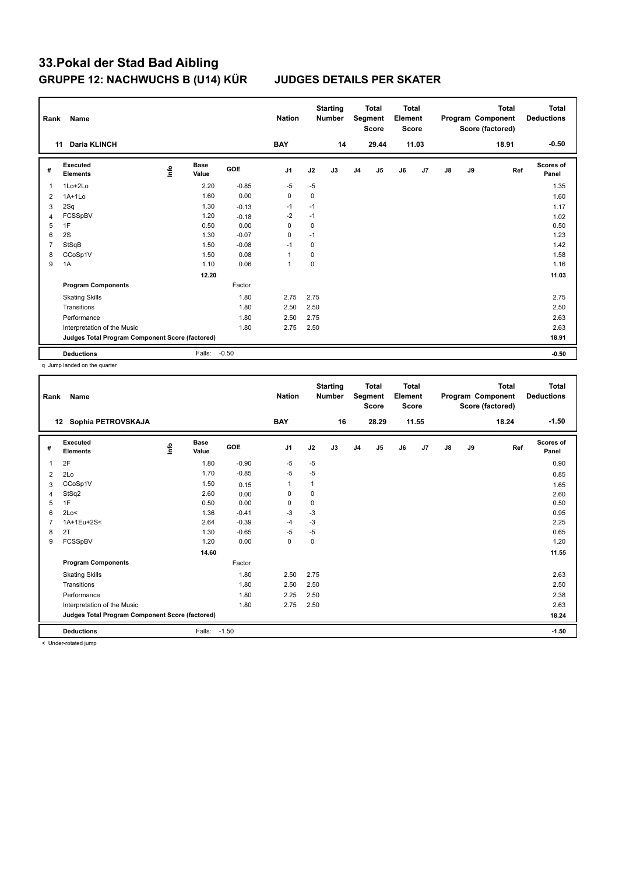| Rank           | Name                                            |      |                      |            | <b>Nation</b>  |             | <b>Starting</b><br><b>Number</b> |                | <b>Total</b><br>Segment<br><b>Score</b> | <b>Total</b><br>Element<br><b>Score</b> |       |    |    | <b>Total</b><br>Program Component<br>Score (factored) | Total<br><b>Deductions</b> |
|----------------|-------------------------------------------------|------|----------------------|------------|----------------|-------------|----------------------------------|----------------|-----------------------------------------|-----------------------------------------|-------|----|----|-------------------------------------------------------|----------------------------|
|                | <b>Daria KLINCH</b><br>11                       |      |                      |            | <b>BAY</b>     |             | 14                               |                | 29.44                                   |                                         | 11.03 |    |    | 18.91                                                 | $-0.50$                    |
| #              | Executed<br><b>Elements</b>                     | lnfo | <b>Base</b><br>Value | <b>GOE</b> | J <sub>1</sub> | J2          | J3                               | J <sub>4</sub> | J5                                      | J6                                      | J7    | J8 | J9 | Ref                                                   | Scores of<br>Panel         |
| 1              | 1Lo+2Lo                                         |      | 2.20                 | $-0.85$    | $-5$           | $-5$        |                                  |                |                                         |                                         |       |    |    |                                                       | 1.35                       |
| $\overline{2}$ | $1A+1Lo$                                        |      | 1.60                 | 0.00       | 0              | 0           |                                  |                |                                         |                                         |       |    |    |                                                       | 1.60                       |
| 3              | 2Sq                                             |      | 1.30                 | $-0.13$    | $-1$           | $-1$        |                                  |                |                                         |                                         |       |    |    |                                                       | 1.17                       |
| $\overline{4}$ | FCSSpBV                                         |      | 1.20                 | $-0.18$    | $-2$           | $-1$        |                                  |                |                                         |                                         |       |    |    |                                                       | 1.02                       |
| 5              | 1F                                              |      | 0.50                 | 0.00       | 0              | 0           |                                  |                |                                         |                                         |       |    |    |                                                       | 0.50                       |
| 6              | 2S                                              |      | 1.30                 | $-0.07$    | $\mathbf 0$    | $-1$        |                                  |                |                                         |                                         |       |    |    |                                                       | 1.23                       |
| 7              | StSqB                                           |      | 1.50                 | $-0.08$    | $-1$           | 0           |                                  |                |                                         |                                         |       |    |    |                                                       | 1.42                       |
| 8              | CCoSp1V                                         |      | 1.50                 | 0.08       | $\overline{1}$ | 0           |                                  |                |                                         |                                         |       |    |    |                                                       | 1.58                       |
| 9              | 1A                                              |      | 1.10                 | 0.06       | $\overline{1}$ | $\mathbf 0$ |                                  |                |                                         |                                         |       |    |    |                                                       | 1.16                       |
|                |                                                 |      | 12.20                |            |                |             |                                  |                |                                         |                                         |       |    |    |                                                       | 11.03                      |
|                | <b>Program Components</b>                       |      |                      | Factor     |                |             |                                  |                |                                         |                                         |       |    |    |                                                       |                            |
|                | <b>Skating Skills</b>                           |      |                      | 1.80       | 2.75           | 2.75        |                                  |                |                                         |                                         |       |    |    |                                                       | 2.75                       |
|                | Transitions                                     |      |                      | 1.80       | 2.50           | 2.50        |                                  |                |                                         |                                         |       |    |    |                                                       | 2.50                       |
|                | Performance                                     |      |                      | 1.80       | 2.50           | 2.75        |                                  |                |                                         |                                         |       |    |    |                                                       | 2.63                       |
|                | Interpretation of the Music                     |      |                      | 1.80       | 2.75           | 2.50        |                                  |                |                                         |                                         |       |    |    |                                                       | 2.63                       |
|                | Judges Total Program Component Score (factored) |      |                      |            |                |             |                                  |                |                                         |                                         |       |    |    |                                                       | 18.91                      |
|                | <b>Deductions</b>                               |      | Falls:               | $-0.50$    |                |             |                                  |                |                                         |                                         |       |    |    |                                                       | $-0.50$                    |

q Jump landed on the quarter

| Rank | Name                                            |   |                      |         | <b>Nation</b>  |      | <b>Starting</b><br><b>Number</b> |    | <b>Total</b><br>Segment<br><b>Score</b> | <b>Total</b><br>Element<br><b>Score</b> |       |               |    | <b>Total</b><br>Program Component<br>Score (factored) | <b>Total</b><br><b>Deductions</b> |
|------|-------------------------------------------------|---|----------------------|---------|----------------|------|----------------------------------|----|-----------------------------------------|-----------------------------------------|-------|---------------|----|-------------------------------------------------------|-----------------------------------|
|      | Sophia PETROVSKAJA<br>12                        |   |                      |         | <b>BAY</b>     |      | 16                               |    | 28.29                                   |                                         | 11.55 |               |    | 18.24                                                 | $-1.50$                           |
| #    | Executed<br><b>Elements</b>                     | ۴ | <b>Base</b><br>Value | GOE     | J <sub>1</sub> | J2   | J3                               | J4 | J <sub>5</sub>                          | J6                                      | J7    | $\mathsf{J}8$ | J9 | Ref                                                   | <b>Scores of</b><br>Panel         |
| 1    | 2F                                              |   | 1.80                 | $-0.90$ | -5             | -5   |                                  |    |                                         |                                         |       |               |    |                                                       | 0.90                              |
| 2    | 2Lo                                             |   | 1.70                 | $-0.85$ | $-5$           | $-5$ |                                  |    |                                         |                                         |       |               |    |                                                       | 0.85                              |
| 3    | CCoSp1V                                         |   | 1.50                 | 0.15    | $\mathbf{1}$   | 1    |                                  |    |                                         |                                         |       |               |    |                                                       | 1.65                              |
| 4    | StSq2                                           |   | 2.60                 | 0.00    | 0              | 0    |                                  |    |                                         |                                         |       |               |    |                                                       | 2.60                              |
| 5    | 1F                                              |   | 0.50                 | 0.00    | 0              | 0    |                                  |    |                                         |                                         |       |               |    |                                                       | 0.50                              |
| 6    | 2Lo<                                            |   | 1.36                 | $-0.41$ | -3             | -3   |                                  |    |                                         |                                         |       |               |    |                                                       | 0.95                              |
| 7    | 1A+1Eu+2S<                                      |   | 2.64                 | $-0.39$ | $-4$           | $-3$ |                                  |    |                                         |                                         |       |               |    |                                                       | 2.25                              |
| 8    | 2T                                              |   | 1.30                 | $-0.65$ | $-5$           | $-5$ |                                  |    |                                         |                                         |       |               |    |                                                       | 0.65                              |
| 9    | FCSSpBV                                         |   | 1.20                 | 0.00    | 0              | 0    |                                  |    |                                         |                                         |       |               |    |                                                       | 1.20                              |
|      |                                                 |   | 14.60                |         |                |      |                                  |    |                                         |                                         |       |               |    |                                                       | 11.55                             |
|      | <b>Program Components</b>                       |   |                      | Factor  |                |      |                                  |    |                                         |                                         |       |               |    |                                                       |                                   |
|      | <b>Skating Skills</b>                           |   |                      | 1.80    | 2.50           | 2.75 |                                  |    |                                         |                                         |       |               |    |                                                       | 2.63                              |
|      | Transitions                                     |   |                      | 1.80    | 2.50           | 2.50 |                                  |    |                                         |                                         |       |               |    |                                                       | 2.50                              |
|      | Performance                                     |   |                      | 1.80    | 2.25           | 2.50 |                                  |    |                                         |                                         |       |               |    |                                                       | 2.38                              |
|      | Interpretation of the Music                     |   |                      | 1.80    | 2.75           | 2.50 |                                  |    |                                         |                                         |       |               |    |                                                       | 2.63                              |
|      | Judges Total Program Component Score (factored) |   |                      |         |                |      |                                  |    |                                         |                                         |       |               |    |                                                       | 18.24                             |
|      | <b>Deductions</b>                               |   | Falls:               | $-1.50$ |                |      |                                  |    |                                         |                                         |       |               |    |                                                       | $-1.50$                           |

< Under-rotated jump